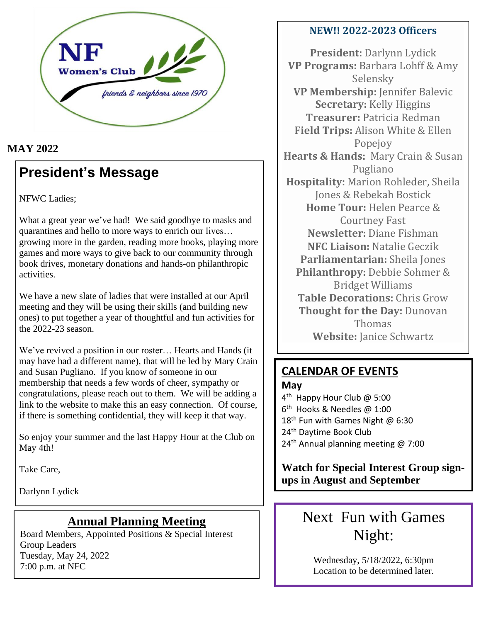

### **MAY 2022**

## **President's Message**

NFWC Ladies;

What a great year we've had! We said goodbye to masks and quarantines and hello to more ways to enrich our lives… growing more in the garden, reading more books, playing more games and more ways to give back to our community through book drives, monetary donations and hands-on philanthropic activities.

We have a new slate of ladies that were installed at our April meeting and they will be using their skills (and building new ones) to put together a year of thoughtful and fun activities for the 2022-23 season.

We've revived a position in our roster… Hearts and Hands (it may have had a different name), that will be led by Mary Crain and Susan Pugliano. If you know of someone in our membership that needs a few words of cheer, sympathy or congratulations, please reach out to them. We will be adding a link to the website to make this an easy connection. Of course, if there is something confidential, they will keep it that way.

So enjoy your summer and the last Happy Hour at the Club on May 4th!

Take Care,

Darlynn Lydick

### **Annual Planning Meeting**

Board Members, Appointed Positions & Special Interest Group Leaders Tuesday, May 24, 2022 7:00 p.m. at NFC

#### **NEW!! 2022-2023 Officers**

**President:** Darlynn Lydick **VP Programs:** Barbara Lohff & Amy Selensky **VP Membership:** Jennifer Balevic **Secretary:** Kelly Higgins **Treasurer:** Patricia Redman **Field Trips:** Alison White & Ellen Popejoy **Hearts & Hands:** Mary Crain & Susan Pugliano **Hospitality:** Marion Rohleder, Sheila Jones & Rebekah Bostick **Home Tour:** Helen Pearce & Courtney Fast **Newsletter:** Diane Fishman **NFC Liaison:** Natalie Geczik **Parliamentarian:** Sheila Jones **Philanthropy:** Debbie Sohmer & Bridget Williams **Table Decorations:** Chris Grow **Thought for the Day:** Dunovan Thomas **Website:** Janice Schwartz

### **CALENDAR OF EVENTS**

#### **May**

4<sup>th</sup> Happy Hour Club @ 5:00 6 th Hooks & Needles @ 1:00 18<sup>th</sup> Fun with Games Night @ 6:30 24<sup>th</sup> Daytime Book Club 24<sup>th</sup> Annual planning meeting  $\omega$  7:00

**Watch for Special Interest Group signups in August and September**

# Next Fun with Games Night:

Wednesday, 5/18/2022, 6:30pm Location to be determined later.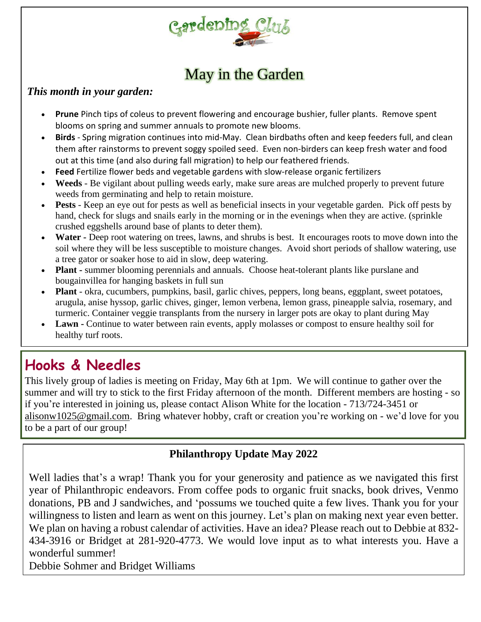

# May in the Garden

#### *This month in your garden:*

- **Prune** Pinch tips of coleus to prevent flowering and encourage bushier, fuller plants. Remove spent blooms on spring and summer annuals to promote new blooms.
- **Birds** Spring migration continues into mid-May. Clean birdbaths often and keep feeders full, and clean them after rainstorms to prevent soggy spoiled seed. Even non-birders can keep fresh water and food out at this time (and also during fall migration) to help our feathered friends.
- **Feed** Fertilize flower beds and vegetable gardens with slow-release organic fertilizers
- **Weeds** Be vigilant about pulling weeds early, make sure areas are mulched properly to prevent future weeds from germinating and help to retain moisture.
- **Pests** Keep an eye out for pests as well as beneficial insects in your vegetable garden. Pick off pests by hand, check for slugs and snails early in the morning or in the evenings when they are active. (sprinkle crushed eggshells around base of plants to deter them).
- **Water -** Deep root watering on trees, lawns, and shrubs is best. It encourages roots to move down into the soil where they will be less susceptible to moisture changes. Avoid short periods of shallow watering, use a tree gator or soaker hose to aid in slow, deep watering.
- **Plant -** summer blooming perennials and annuals. Choose heat-tolerant plants like purslane and bougainvillea for hanging baskets in full sun
- **Plant** okra, cucumbers, pumpkins, basil, garlic chives, peppers, long beans, eggplant, sweet potatoes, arugula, anise hyssop, garlic chives, ginger, lemon verbena, lemon grass, pineapple salvia, rosemary, and turmeric. Container veggie transplants from the nursery in larger pots are okay to plant during May
- **Lawn -** Continue to water between rain events, apply molasses or compost to ensure healthy soil for healthy turf roots.

# **Hooks & Needles**

This lively group of ladies is meeting on Friday, May 6th at 1pm. We will continue to gather over the summer and will try to stick to the first Friday afternoon of the month. Different members are hosting - so if you're interested in joining us, please contact Alison White for the location - 713/724-3451 or [alisonw1025@gmail.com.](mailto:alisonw1025@gmail.com) Bring whatever hobby, craft or creation you're working on - we'd love for you to be a part of our group!

### **Philanthropy Update May 2022**

Well ladies that's a wrap! Thank you for your generosity and patience as we navigated this first year of Philanthropic endeavors. From coffee pods to organic fruit snacks, book drives, Venmo donations, PB and J sandwiches, and 'possums we touched quite a few lives. Thank you for your willingness to listen and learn as went on this journey. Let's plan on making next year even better. We plan on having a robust calendar of activities. Have an idea? Please reach out to Debbie at 832- 434-3916 or Bridget at 281-920-4773. We would love input as to what interests you. Have a wonderful summer!

Debbie Sohmer and Bridget Williams